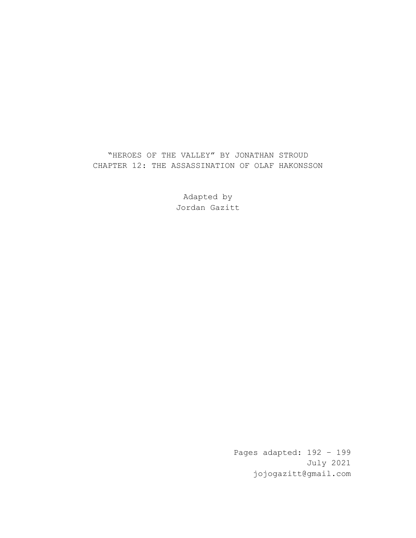# "HEROES OF THE VALLEY" BY JONATHAN STROUD CHAPTER 12: THE ASSASSINATION OF OLAF HAKONSSON

Adapted by Jordan Gazitt

> Pages adapted: 192 – 199 July 2021 jojogazitt@gmail.com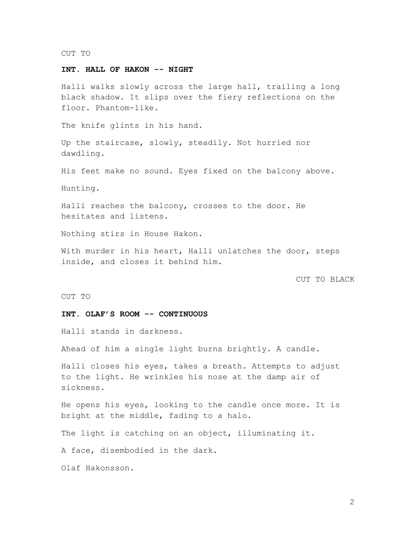#### CUT TO

#### **INT. HALL OF HAKON -- NIGHT**

Halli walks slowly across the large hall, trailing a long black shadow. It slips over the fiery reflections on the floor. Phantom-like.

The knife glints in his hand.

Up the staircase, slowly, steadily. Not hurried nor dawdling.

His feet make no sound. Eyes fixed on the balcony above.

Hunting.

Halli reaches the balcony, crosses to the door. He hesitates and listens.

Nothing stirs in House Hakon.

With murder in his heart, Halli unlatches the door, steps inside, and closes it behind him.

CUT TO BLACK

CUT TO

#### **INT. OLAF'S ROOM -- CONTINUOUS**

Halli stands in darkness.

Ahead of him a single light burns brightly. A candle.

Halli closes his eyes, takes a breath. Attempts to adjust to the light. He wrinkles his nose at the damp air of sickness.

He opens his eyes, looking to the candle once more. It is bright at the middle, fading to a halo.

The light is catching on an object, illuminating it.

A face, disembodied in the dark.

Olaf Hakonsson.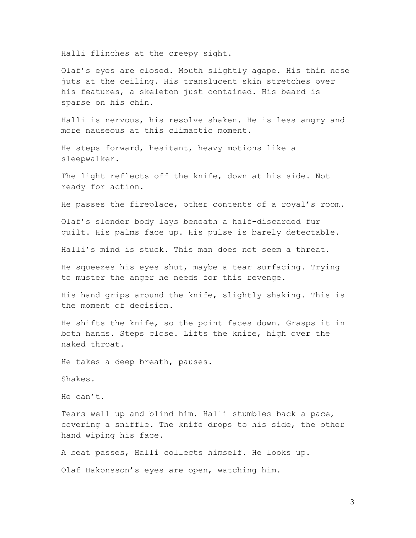Halli flinches at the creepy sight.

Olaf's eyes are closed. Mouth slightly agape. His thin nose juts at the ceiling. His translucent skin stretches over his features, a skeleton just contained. His beard is sparse on his chin.

Halli is nervous, his resolve shaken. He is less angry and more nauseous at this climactic moment.

He steps forward, hesitant, heavy motions like a sleepwalker.

The light reflects off the knife, down at his side. Not ready for action.

He passes the fireplace, other contents of a royal's room.

Olaf's slender body lays beneath a half-discarded fur quilt. His palms face up. His pulse is barely detectable.

Halli's mind is stuck. This man does not seem a threat.

He squeezes his eyes shut, maybe a tear surfacing. Trying to muster the anger he needs for this revenge.

His hand grips around the knife, slightly shaking. This is the moment of decision.

He shifts the knife, so the point faces down. Grasps it in both hands. Steps close. Lifts the knife, high over the naked throat.

He takes a deep breath, pauses.

Shakes.

He can't.

Tears well up and blind him. Halli stumbles back a pace, covering a sniffle. The knife drops to his side, the other hand wiping his face.

A beat passes, Halli collects himself. He looks up.

Olaf Hakonsson's eyes are open, watching him.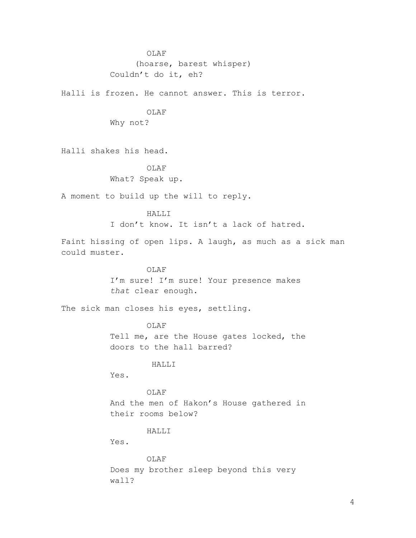OLAF (hoarse, barest whisper) Couldn't do it, eh?

Halli is frozen. He cannot answer. This is terror.

## OLAF Why not?

Halli shakes his head.

## OLAF

## What? Speak up.

A moment to build up the will to reply.

HALLI I don't know. It isn't a lack of hatred.

Faint hissing of open lips. A laugh, as much as a sick man could muster.

# OLAF I'm sure! I'm sure! Your presence makes *that* clear enough.

The sick man closes his eyes, settling.

OLAF Tell me, are the House gates locked, the doors to the hall barred?

## HALL<sub>I</sub>I

Yes.

OLAF And the men of Hakon's House gathered in their rooms below?

## HALLT.

Yes.

OLAF Does my brother sleep beyond this very wall?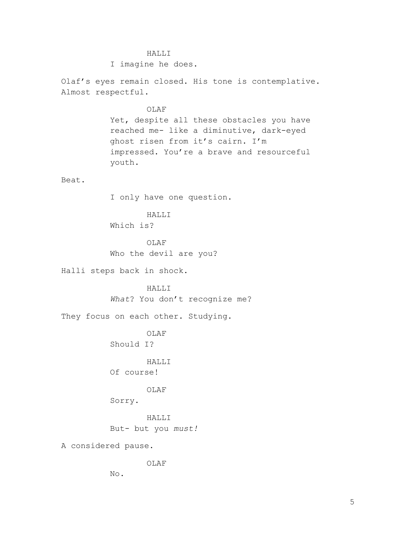#### HALLI

I imagine he does.

Olaf's eyes remain closed. His tone is contemplative. Almost respectful.

## OLAF

Yet, despite all these obstacles you have reached me- like a diminutive, dark-eyed ghost risen from it's cairn. I'm impressed. You're a brave and resourceful youth.

Beat.

I only have one question.

## HALLI Which is?

OLAF Who the devil are you?

Halli steps back in shock.

HALLI *What*? You don't recognize me?

They focus on each other. Studying.

OLAF

Should I?

#### HALLI

Of course!

## OLAF

Sorry.

HALLI But- but you *must!*

A considered pause.

#### OLAF

No.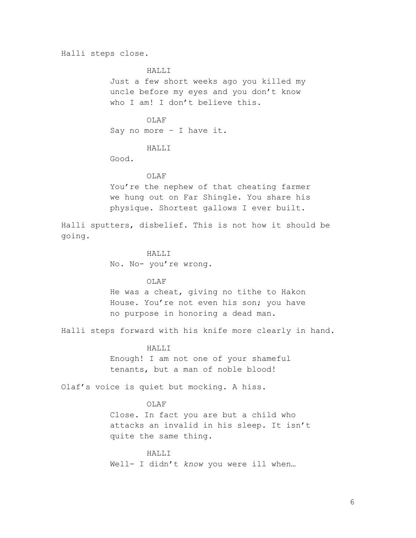# Halli steps close. HALLI Just a few short weeks ago you killed my uncle before my eyes and you don't know who I am! I don't believe this. OLAF Say no more – I have it. HALLI Good. OLAF You're the nephew of that cheating farmer we hung out on Far Shingle. You share his physique. Shortest gallows I ever built. Halli sputters, disbelief. This is not how it should be going. HALLI No. No- you're wrong. OLAF He was a cheat, giving no tithe to Hakon House. You're not even his son; you have no purpose in honoring a dead man. Halli steps forward with his knife more clearly in hand. HALLI Enough! I am not one of your shameful tenants, but a man of noble blood! Olaf's voice is quiet but mocking. A hiss. OLAF Close. In fact you are but a child who attacks an invalid in his sleep. It isn't quite the same thing. HALLI

Well- I didn't *know* you were ill when…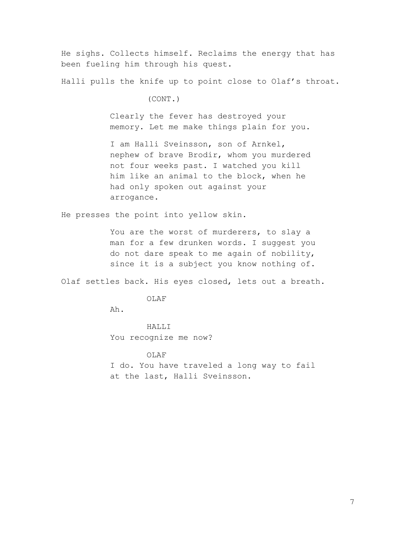He sighs. Collects himself. Reclaims the energy that has been fueling him through his quest.

Halli pulls the knife up to point close to Olaf's throat.

(CONT.)

Clearly the fever has destroyed your memory. Let me make things plain for you.

I am Halli Sveinsson, son of Arnkel, nephew of brave Brodir, whom you murdered not four weeks past. I watched you kill him like an animal to the block, when he had only spoken out against your arrogance.

He presses the point into yellow skin.

You are the worst of murderers, to slay a man for a few drunken words. I suggest you do not dare speak to me again of nobility, since it is a subject you know nothing of.

Olaf settles back. His eyes closed, lets out a breath.

OLAF

Ah.

**HALLI** You recognize me now?

OLAF

I do. You have traveled a long way to fail at the last, Halli Sveinsson.